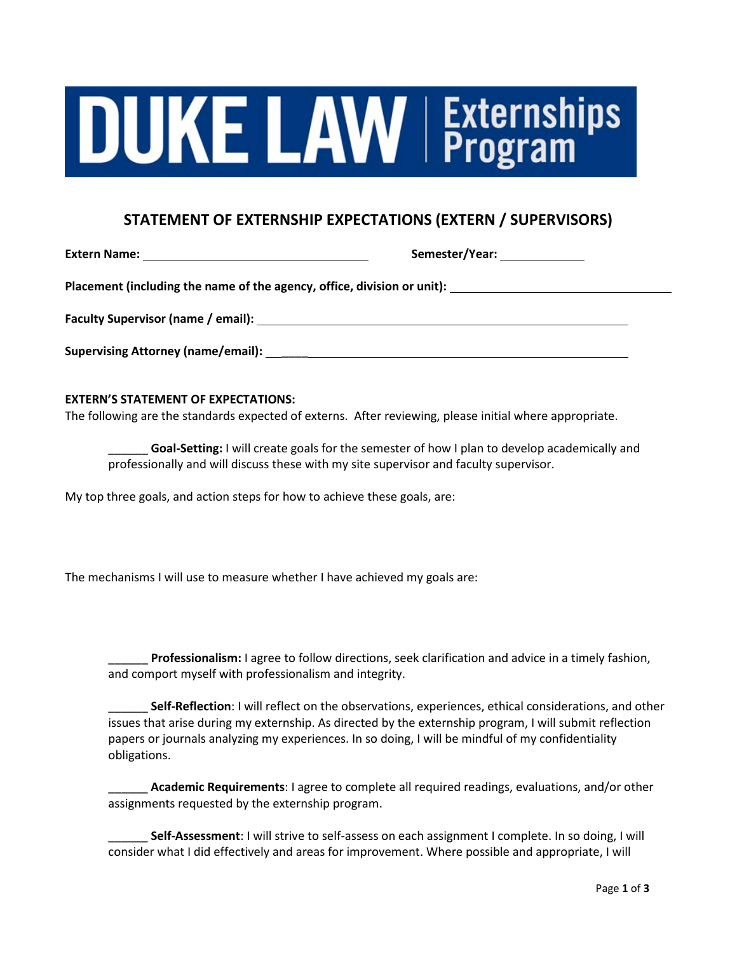# **JUKE LAW Externships**

# **STATEMENT OF EXTERNSHIP EXPECTATIONS (EXTERN / SUPERVISORS)**

**Extern Name: Semester/Year:** 

Placement (including the name of the agency, office, division or unit): **<u>\_\_\_\_\_\_\_\_\_\_\_\_\_\_\_\_\_\_\_\_\_\_\_\_\_\_\_\_</u>\_\_\_\_\_** 

**Faculty Supervisor (name / email):**

**Supervising Attorney (name/email):** \_\_\_\_

## **EXTERN'S STATEMENT OF EXPECTATIONS:**

The following are the standards expected of externs. After reviewing, please initial where appropriate.

**Goal-Setting:** I will create goals for the semester of how I plan to develop academically and professionally and will discuss these with my site supervisor and faculty supervisor.

My top three goals, and action steps for how to achieve these goals, are:

The mechanisms I will use to measure whether I have achieved my goals are:

\_\_\_\_\_\_ **Professionalism:** I agree to follow directions, seek clarification and advice in a timely fashion, and comport myself with professionalism and integrity.

\_\_\_\_\_\_ **Self-Reflection**: I will reflect on the observations, experiences, ethical considerations, and other issues that arise during my externship. As directed by the externship program, I will submit reflection papers or journals analyzing my experiences. In so doing, I will be mindful of my confidentiality obligations.

\_\_\_\_\_\_ **Academic Requirements**: I agree to complete all required readings, evaluations, and/or other assignments requested by the externship program.

\_\_\_\_\_\_ **Self-Assessment**: I will strive to self-assess on each assignment I complete. In so doing, I will consider what I did effectively and areas for improvement. Where possible and appropriate, I will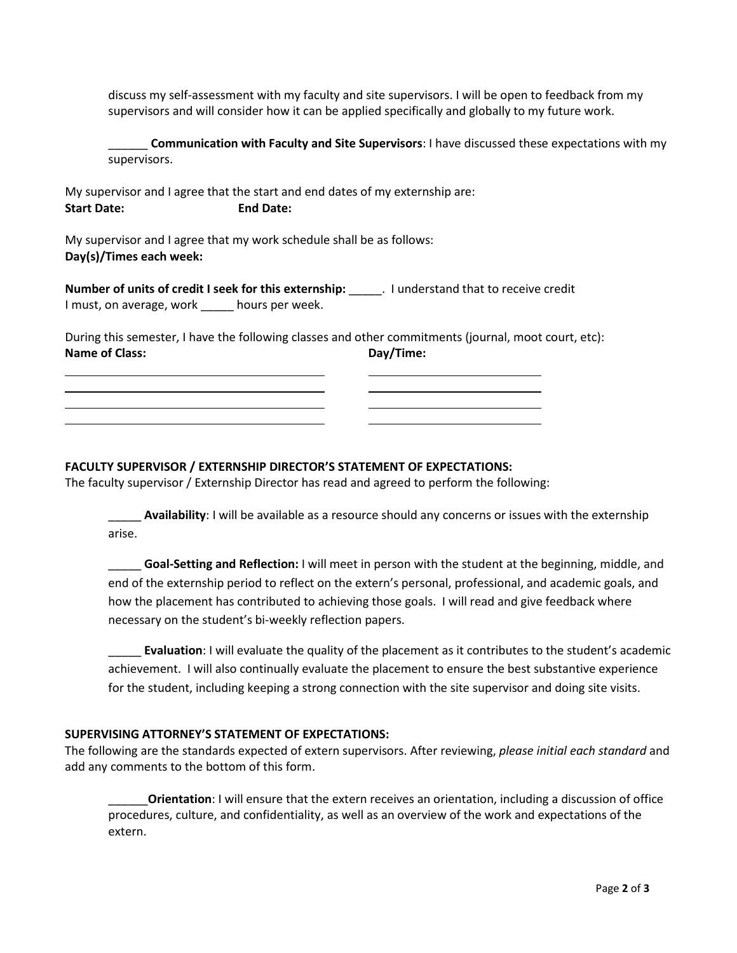discuss my self-assessment with my faculty and site supervisors. I will be open to feedback from my supervisors and will consider how it can be applied specifically and globally to my future work.

\_\_\_\_\_\_ **Communication with Faculty and Site Supervisors**: I have discussed these expectations with my supervisors.

My supervisor and I agree that the start and end dates of my externship are: **Start Date: End Date:** 

My supervisor and I agree that my work schedule shall be as follows: **Day(s)/Times each week:** 

**Number of units of credit I seek for this externship:** \_\_\_\_\_. I understand that to receive credit I must, on average, work \_\_\_\_\_ hours per week.

During this semester, I have the following classes and other commitments (journal, moot court, etc): **Name of Class:** Day/Time:

## **FACULTY SUPERVISOR / EXTERNSHIP DIRECTOR'S STATEMENT OF EXPECTATIONS:**

The faculty supervisor / Externship Director has read and agreed to perform the following:

**Availability**: I will be available as a resource should any concerns or issues with the externship arise.

\_\_\_\_\_ **Goal-Setting and Reflection:** I will meet in person with the student at the beginning, middle, and end of the externship period to reflect on the extern's personal, professional, and academic goals, and how the placement has contributed to achieving those goals. I will read and give feedback where necessary on the student's bi-weekly reflection papers.

\_\_\_\_\_ **Evaluation**: I will evaluate the quality of the placement as it contributes to the student's academic achievement. I will also continually evaluate the placement to ensure the best substantive experience for the student, including keeping a strong connection with the site supervisor and doing site visits.

### **SUPERVISING ATTORNEY'S STATEMENT OF EXPECTATIONS:**

The following are the standards expected of extern supervisors. After reviewing, *please initial each standard* and add any comments to the bottom of this form.

\_\_\_\_\_\_**Orientation**: I will ensure that the extern receives an orientation, including a discussion of office procedures, culture, and confidentiality, as well as an overview of the work and expectations of the extern.